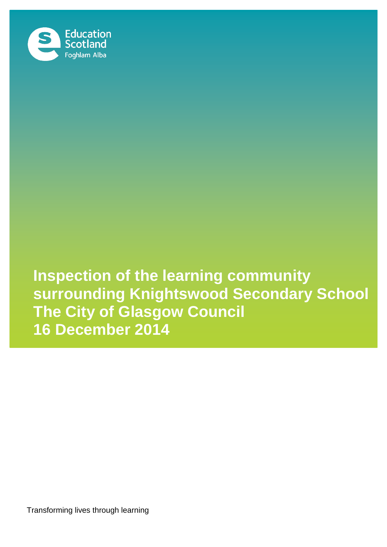

**Inspection of the learning community surrounding Knightswood Secondary School The City of Glasgow Council 16 December 2014**

Transforming lives through learning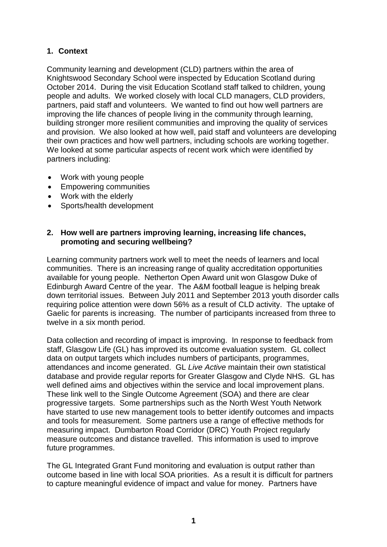## **1. Context**

Community learning and development (CLD) partners within the area of Knightswood Secondary School were inspected by Education Scotland during October 2014. During the visit Education Scotland staff talked to children, young people and adults. We worked closely with local CLD managers, CLD providers, partners, paid staff and volunteers. We wanted to find out how well partners are improving the life chances of people living in the community through learning, building stronger more resilient communities and improving the quality of services and provision. We also looked at how well, paid staff and volunteers are developing their own practices and how well partners, including schools are working together. We looked at some particular aspects of recent work which were identified by partners including:

- Work with young people
- Empowering communities
- Work with the elderly
- Sports/health development

## **2. How well are partners improving learning, increasing life chances, promoting and securing wellbeing?**

Learning community partners work well to meet the needs of learners and local communities. There is an increasing range of quality accreditation opportunities available for young people. Netherton Open Award unit won Glasgow Duke of Edinburgh Award Centre of the year. The A&M football league is helping break down territorial issues. Between July 2011 and September 2013 youth disorder calls requiring police attention were down 56% as a result of CLD activity. The uptake of Gaelic for parents is increasing. The number of participants increased from three to twelve in a six month period.

Data collection and recording of impact is improving. In response to feedback from staff, Glasgow Life (GL) has improved its outcome evaluation system. GL collect data on output targets which includes numbers of participants, programmes, attendances and income generated. GL *Live Active* maintain their own statistical database and provide regular reports for Greater Glasgow and Clyde NHS. GL has well defined aims and objectives within the service and local improvement plans. These link well to the Single Outcome Agreement (SOA) and there are clear progressive targets. Some partnerships such as the North West Youth Network have started to use new management tools to better identify outcomes and impacts and tools for measurement. Some partners use a range of effective methods for measuring impact. Dumbarton Road Corridor (DRC) Youth Project regularly measure outcomes and distance travelled. This information is used to improve future programmes.

The GL Integrated Grant Fund monitoring and evaluation is output rather than outcome based in line with local SOA priorities. As a result it is difficult for partners to capture meaningful evidence of impact and value for money. Partners have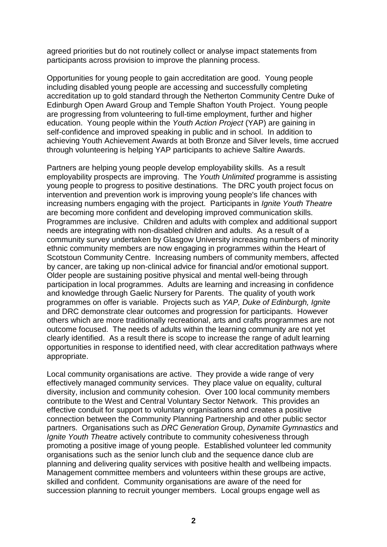agreed priorities but do not routinely collect or analyse impact statements from participants across provision to improve the planning process.

Opportunities for young people to gain accreditation are good. Young people including disabled young people are accessing and successfully completing accreditation up to gold standard through the Netherton Community Centre Duke of Edinburgh Open Award Group and Temple Shafton Youth Project. Young people are progressing from volunteering to full-time employment, further and higher education. Young people within the *Youth Action Project* (YAP) are gaining in self-confidence and improved speaking in public and in school. In addition to achieving Youth Achievement Awards at both Bronze and Silver levels, time accrued through volunteering is helping YAP participants to achieve Saltire Awards.

Partners are helping young people develop employability skills. As a result employability prospects are improving. The *Youth Unlimited* programme is assisting young people to progress to positive destinations. The DRC youth project focus on intervention and prevention work is improving young people's life chances with increasing numbers engaging with the project. Participants in *Ignite Youth Theatre* are becoming more confident and developing improved communication skills. Programmes are inclusive. Children and adults with complex and additional support needs are integrating with non-disabled children and adults. As a result of a community survey undertaken by Glasgow University increasing numbers of minority ethnic community members are now engaging in programmes within the Heart of Scotstoun Community Centre. Increasing numbers of community members, affected by cancer, are taking up non-clinical advice for financial and/or emotional support. Older people are sustaining positive physical and mental well-being through participation in local programmes. Adults are learning and increasing in confidence and knowledge through Gaelic Nursery for Parents. The quality of youth work programmes on offer is variable. Projects such as *YAP, Duke of Edinburgh, Ignite* and DRC demonstrate clear outcomes and progression for participants. However others which are more traditionally recreational, arts and crafts programmes are not outcome focused. The needs of adults within the learning community are not yet clearly identified. As a result there is scope to increase the range of adult learning opportunities in response to identified need, with clear accreditation pathways where appropriate.

Local community organisations are active. They provide a wide range of very effectively managed community services. They place value on equality, cultural diversity, inclusion and community cohesion. Over 100 local community members contribute to the West and Central Voluntary Sector Network. This provides an effective conduit for support to voluntary organisations and creates a positive connection between the Community Planning Partnership and other public sector partners. Organisations such as *DRC Generation* Group, *Dynamite Gymnastics* and *Ignite Youth Theatre* actively contribute to community cohesiveness through promoting a positive image of young people. Established volunteer led community organisations such as the senior lunch club and the sequence dance club are planning and delivering quality services with positive health and wellbeing impacts. Management committee members and volunteers within these groups are active, skilled and confident. Community organisations are aware of the need for succession planning to recruit younger members. Local groups engage well as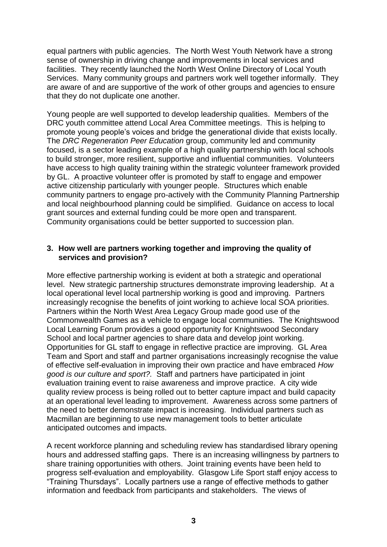equal partners with public agencies. The North West Youth Network have a strong sense of ownership in driving change and improvements in local services and facilities. They recently launched the North West Online Directory of Local Youth Services. Many community groups and partners work well together informally. They are aware of and are supportive of the work of other groups and agencies to ensure that they do not duplicate one another.

Young people are well supported to develop leadership qualities. Members of the DRC youth committee attend Local Area Committee meetings. This is helping to promote young people's voices and bridge the generational divide that exists locally. The *DRC Regeneration Peer Education* group, community led and community focused, is a sector leading example of a high quality partnership with local schools to build stronger, more resilient, supportive and influential communities. Volunteers have access to high quality training within the strategic volunteer framework provided by GL. A proactive volunteer offer is promoted by staff to engage and empower active citizenship particularly with younger people. Structures which enable community partners to engage pro-actively with the Community Planning Partnership and local neighbourhood planning could be simplified. Guidance on access to local grant sources and external funding could be more open and transparent. Community organisations could be better supported to succession plan.

## **3. How well are partners working together and improving the quality of services and provision?**

More effective partnership working is evident at both a strategic and operational level. New strategic partnership structures demonstrate improving leadership. At a local operational level local partnership working is good and improving. Partners increasingly recognise the benefits of joint working to achieve local SOA priorities. Partners within the North West Area Legacy Group made good use of the Commonwealth Games as a vehicle to engage local communities. The Knightswood Local Learning Forum provides a good opportunity for Knightswood Secondary School and local partner agencies to share data and develop joint working. Opportunities for GL staff to engage in reflective practice are improving. GL Area Team and Sport and staff and partner organisations increasingly recognise the value of effective self-evaluation in improving their own practice and have embraced *How good is our culture and sport?.* Staff and partners have participated in joint evaluation training event to raise awareness and improve practice. A city wide quality review process is being rolled out to better capture impact and build capacity at an operational level leading to improvement. Awareness across some partners of the need to better demonstrate impact is increasing. Individual partners such as Macmillan are beginning to use new management tools to better articulate anticipated outcomes and impacts.

A recent workforce planning and scheduling review has standardised library opening hours and addressed staffing gaps. There is an increasing willingness by partners to share training opportunities with others. Joint training events have been held to progress self-evaluation and employability. Glasgow Life Sport staff enjoy access to "Training Thursdays". Locally partners use a range of effective methods to gather information and feedback from participants and stakeholders. The views of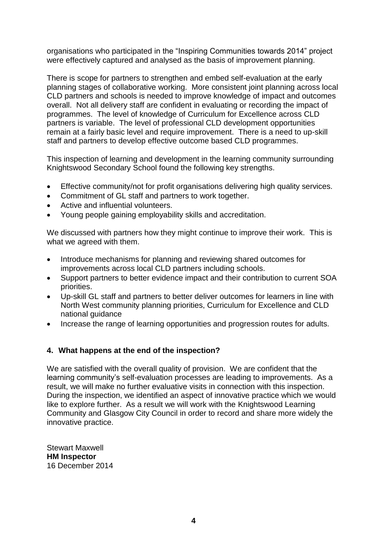organisations who participated in the "Inspiring Communities towards 2014" project were effectively captured and analysed as the basis of improvement planning.

There is scope for partners to strengthen and embed self-evaluation at the early planning stages of collaborative working. More consistent joint planning across local CLD partners and schools is needed to improve knowledge of impact and outcomes overall. Not all delivery staff are confident in evaluating or recording the impact of programmes. The level of knowledge of Curriculum for Excellence across CLD partners is variable. The level of professional CLD development opportunities remain at a fairly basic level and require improvement. There is a need to up-skill staff and partners to develop effective outcome based CLD programmes.

This inspection of learning and development in the learning community surrounding Knightswood Secondary School found the following key strengths.

- Effective community/not for profit organisations delivering high quality services.
- Commitment of GL staff and partners to work together.
- Active and influential volunteers.
- Young people gaining employability skills and accreditation.

We discussed with partners how they might continue to improve their work. This is what we agreed with them.

- Introduce mechanisms for planning and reviewing shared outcomes for improvements across local CLD partners including schools.
- Support partners to better evidence impact and their contribution to current SOA priorities.
- Up-skill GL staff and partners to better deliver outcomes for learners in line with North West community planning priorities, Curriculum for Excellence and CLD national guidance
- Increase the range of learning opportunities and progression routes for adults.

## **4. What happens at the end of the inspection?**

We are satisfied with the overall quality of provision. We are confident that the learning community's self-evaluation processes are leading to improvements. As a result, we will make no further evaluative visits in connection with this inspection. During the inspection, we identified an aspect of innovative practice which we would like to explore further. As a result we will work with the Knightswood Learning Community and Glasgow City Council in order to record and share more widely the innovative practice.

Stewart Maxwell **HM Inspector** 16 December 2014